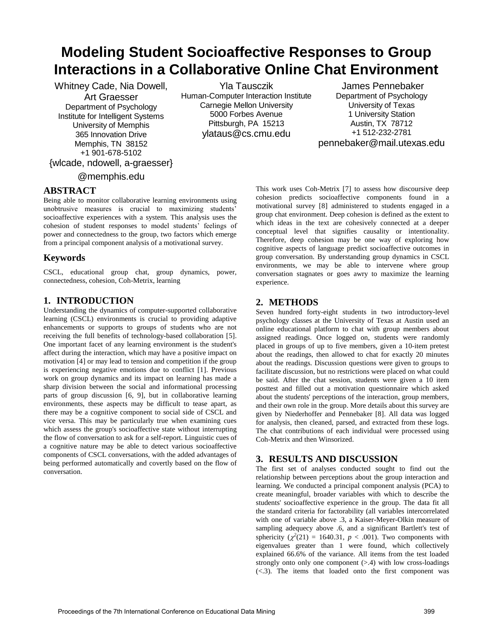# **Modeling Student Socioaffective Responses to Group Interactions in a Collaborative Online Chat Environment**

Whitney Cade, Nia Dowell, Art Graesser Department of Psychology Institute for Intelligent Systems University of Memphis 365 Innovation Drive Memphis, TN 38152 +1 901-678-5102 {wlcade, ndowell, a-graesser}

Yla Tausczik Human-Computer Interaction Institute Carnegie Mellon University 5000 Forbes Avenue Pittsburgh, PA 15213 ylataus@cs.cmu.edu

 James Pennebaker Department of Psychology University of Texas 1 University Station Austin, TX 78712 +1 512-232-2781 pennebaker@mail.utexas.edu

# @memphis.edu

#### **ABSTRACT**

Being able to monitor collaborative learning environments using unobtrusive measures is crucial to maximizing students' socioaffective experiences with a system. This analysis uses the cohesion of student responses to model students' feelings of power and connectedness to the group, two factors which emerge from a principal component analysis of a motivational survey.

### **Keywords**

CSCL, educational group chat, group dynamics, power, connectedness, cohesion, Coh-Metrix, learning

# **1. INTRODUCTION**

Understanding the dynamics of computer-supported collaborative learning (CSCL) environments is crucial to providing adaptive enhancements or supports to groups of students who are not receiving the full benefits of technology-based collaboration [5]. One important facet of any learning environment is the student's affect during the interaction, which may have a positive impact on motivation [4] or may lead to tension and competition if the group is experiencing negative emotions due to conflict [1]. Previous work on group dynamics and its impact on learning has made a sharp division between the social and informational processing parts of group discussion [6, 9], but in collaborative learning environments, these aspects may be difficult to tease apart, as there may be a cognitive component to social side of CSCL and vice versa. This may be particularly true when examining cues which assess the group's socioaffective state without interrupting the flow of conversation to ask for a self-report. Linguistic cues of a cognitive nature may be able to detect various socioaffective components of CSCL conversations, with the added advantages of being performed automatically and covertly based on the flow of conversation.

This work uses Coh-Metrix [7] to assess how discoursive deep cohesion predicts socioaffective components found in a motivational survey [8] administered to students engaged in a group chat environment. Deep cohesion is defined as the extent to which ideas in the text are cohesively connected at a deeper conceptual level that signifies causality or intentionality. Therefore, deep cohesion may be one way of exploring how cognitive aspects of language predict socioaffective outcomes in group conversation. By understanding group dynamics in CSCL environments, we may be able to intervene where group conversation stagnates or goes awry to maximize the learning experience.

### **2. METHODS**

Seven hundred forty-eight students in two introductory-level psychology classes at the University of Texas at Austin used an online educational platform to chat with group members about assigned readings. Once logged on, students were randomly placed in groups of up to five members, given a 10-item pretest about the readings, then allowed to chat for exactly 20 minutes about the readings. Discussion questions were given to groups to facilitate discussion, but no restrictions were placed on what could be said. After the chat session, students were given a 10 item posttest and filled out a motivation questionnaire which asked about the students' perceptions of the interaction, group members, and their own role in the group. More details about this survey are given by Niederhoffer and Pennebaker [8]. All data was logged for analysis, then cleaned, parsed, and extracted from these logs. The chat contributions of each individual were processed using Coh-Metrix and then Winsorized.

# **3. RESULTS AND DISCUSSION**

The first set of analyses conducted sought to find out the relationship between perceptions about the group interaction and learning. We conducted a principal component analysis (PCA) to create meaningful, broader variables with which to describe the students' socioaffective experience in the group. The data fit all the standard criteria for factorability (all variables intercorrelated with one of variable above .3, a Kaiser-Meyer-Olkin measure of sampling adequecy above .6, and a significant Bartlett's test of sphericity  $(\chi^2(21) = 1640.31, p < .001)$ . Two components with eigenvalues greater than 1 were found, which collectively explained 66.6% of the variance. All items from the test loaded strongly onto only one component  $(>4)$  with low cross-loadings (<.3). The items that loaded onto the first component was